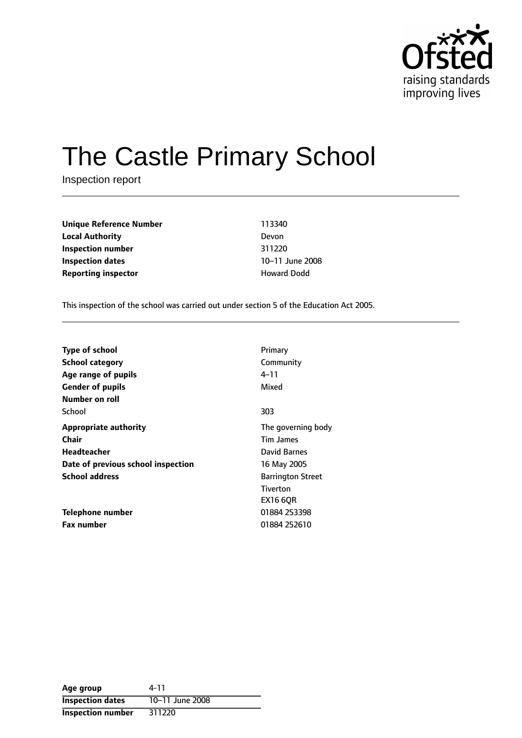

# The Castle Primary School

Inspection report

**Unique Reference Number** 113340 **Local Authority** Devon **Inspection number** 311220 **Inspection dates** 10-11 June 2008 **Reporting inspector and COVID-10 Reporting** inspector

This inspection of the school was carried out under section 5 of the Education Act 2005.

| <b>Type of school</b>              | Primary                  |
|------------------------------------|--------------------------|
| <b>School category</b>             | Community                |
| Age range of pupils                | 4–11                     |
| <b>Gender of pupils</b>            | Mixed                    |
| Number on roll                     |                          |
| School                             | 303                      |
| <b>Appropriate authority</b>       | The governing body       |
| Chair                              | Tim James                |
| Headteacher                        | David Barnes             |
| Date of previous school inspection | 16 May 2005              |
| <b>School address</b>              | <b>Barrington Street</b> |
|                                    | Tiverton                 |
|                                    | <b>EX16 6OR</b>          |
| Telephone number                   | 01884 253398             |
| <b>Fax number</b>                  | 01884 252610             |

| Age group                | 4-11            |
|--------------------------|-----------------|
| <b>Inspection dates</b>  | 10-11 June 2008 |
| <b>Inspection number</b> | 311220          |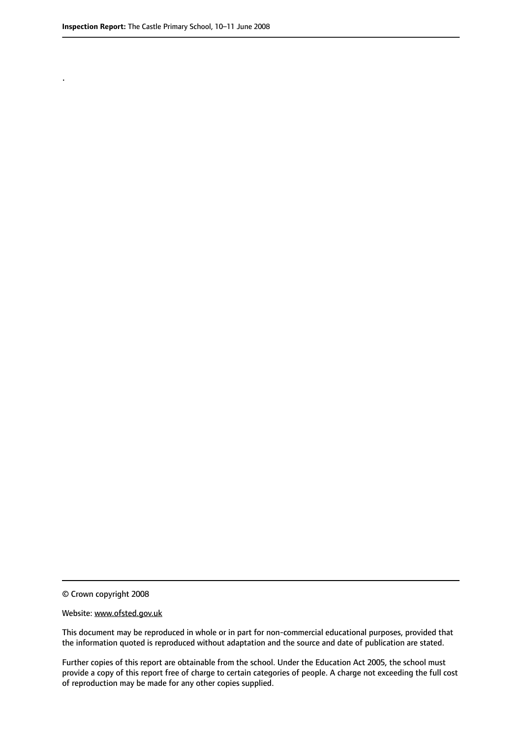.

© Crown copyright 2008

#### Website: www.ofsted.gov.uk

This document may be reproduced in whole or in part for non-commercial educational purposes, provided that the information quoted is reproduced without adaptation and the source and date of publication are stated.

Further copies of this report are obtainable from the school. Under the Education Act 2005, the school must provide a copy of this report free of charge to certain categories of people. A charge not exceeding the full cost of reproduction may be made for any other copies supplied.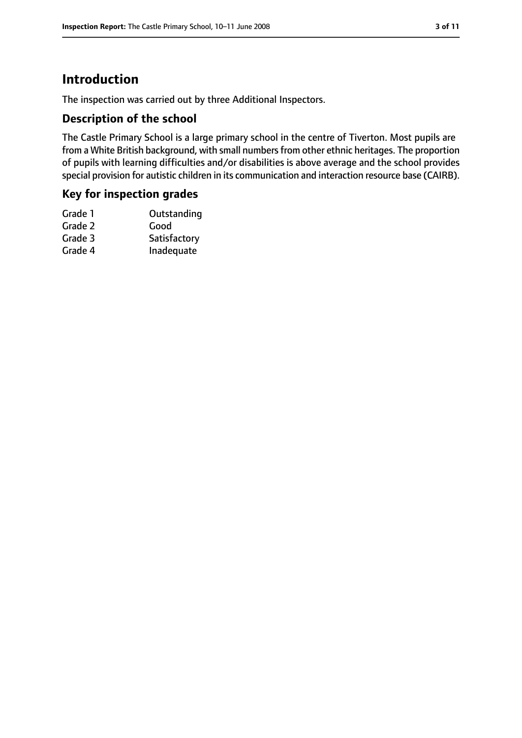# **Introduction**

The inspection was carried out by three Additional Inspectors.

#### **Description of the school**

The Castle Primary School is a large primary school in the centre of Tiverton. Most pupils are from a White British background, with small numbers from other ethnic heritages. The proportion of pupils with learning difficulties and/or disabilities is above average and the school provides special provision for autistic children in its communication and interaction resource base (CAIRB).

#### **Key for inspection grades**

| Grade 1 | Outstanding  |
|---------|--------------|
| Grade 2 | Good         |
| Grade 3 | Satisfactory |
| Grade 4 | Inadequate   |
|         |              |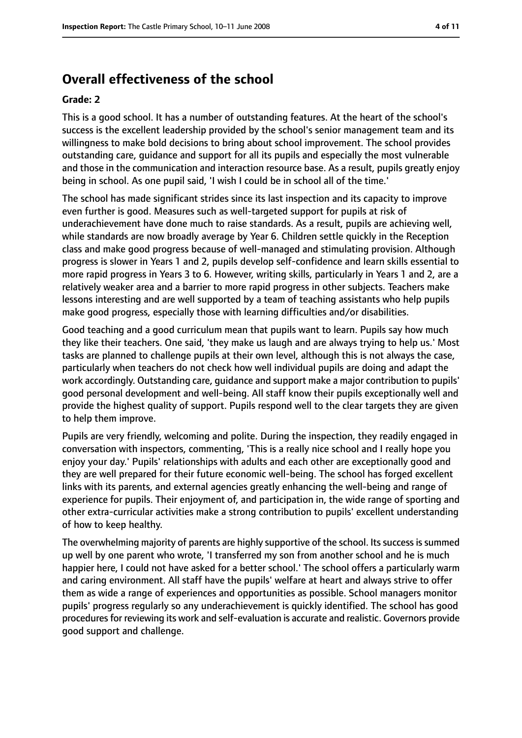# **Overall effectiveness of the school**

#### **Grade: 2**

This is a good school. It has a number of outstanding features. At the heart of the school's success is the excellent leadership provided by the school's senior management team and its willingness to make bold decisions to bring about school improvement. The school provides outstanding care, guidance and support for all its pupils and especially the most vulnerable and those in the communication and interaction resource base. As a result, pupils greatly enjoy being in school. As one pupil said, 'I wish I could be in school all of the time.'

The school has made significant strides since its last inspection and its capacity to improve even further is good. Measures such as well-targeted support for pupils at risk of underachievement have done much to raise standards. As a result, pupils are achieving well, while standards are now broadly average by Year 6. Children settle quickly in the Reception class and make good progress because of well-managed and stimulating provision. Although progress is slower in Years 1 and 2, pupils develop self-confidence and learn skills essential to more rapid progress in Years 3 to 6. However, writing skills, particularly in Years 1 and 2, are a relatively weaker area and a barrier to more rapid progress in other subjects. Teachers make lessons interesting and are well supported by a team of teaching assistants who help pupils make good progress, especially those with learning difficulties and/or disabilities.

Good teaching and a good curriculum mean that pupils want to learn. Pupils say how much they like their teachers. One said, 'they make us laugh and are always trying to help us.' Most tasks are planned to challenge pupils at their own level, although this is not always the case, particularly when teachers do not check how well individual pupils are doing and adapt the work accordingly. Outstanding care, guidance and support make a major contribution to pupils' good personal development and well-being. All staff know their pupils exceptionally well and provide the highest quality of support. Pupils respond well to the clear targets they are given to help them improve.

Pupils are very friendly, welcoming and polite. During the inspection, they readily engaged in conversation with inspectors, commenting, 'This is a really nice school and I really hope you enjoy your day.' Pupils' relationships with adults and each other are exceptionally good and they are well prepared for their future economic well-being. The school has forged excellent links with its parents, and external agencies greatly enhancing the well-being and range of experience for pupils. Their enjoyment of, and participation in, the wide range of sporting and other extra-curricular activities make a strong contribution to pupils' excellent understanding of how to keep healthy.

The overwhelming majority of parents are highly supportive of the school. Its success is summed up well by one parent who wrote, 'I transferred my son from another school and he is much happier here, I could not have asked for a better school.' The school offers a particularly warm and caring environment. All staff have the pupils' welfare at heart and always strive to offer them as wide a range of experiences and opportunities as possible. School managers monitor pupils' progress regularly so any underachievement is quickly identified. The school has good procedures for reviewing its work and self-evaluation is accurate and realistic. Governors provide good support and challenge.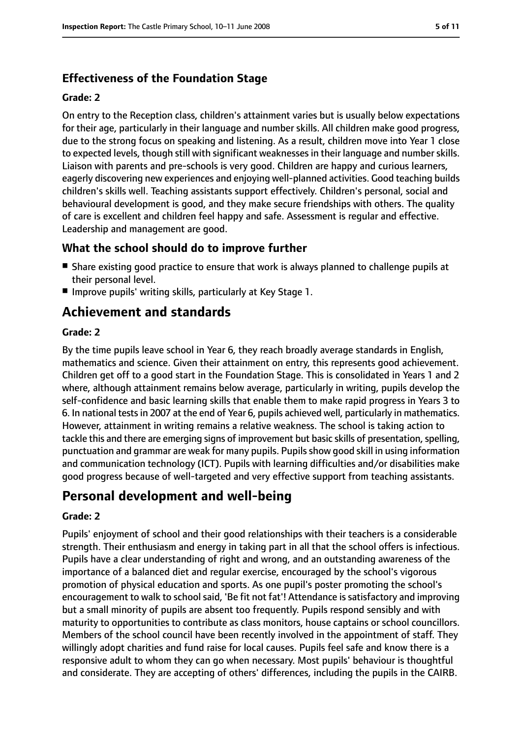## **Effectiveness of the Foundation Stage**

#### **Grade: 2**

On entry to the Reception class, children's attainment varies but is usually below expectations for their age, particularly in their language and number skills. All children make good progress, due to the strong focus on speaking and listening. As a result, children move into Year 1 close to expected levels, though still with significant weaknesses in their language and number skills. Liaison with parents and pre-schools is very good. Children are happy and curious learners, eagerly discovering new experiences and enjoying well-planned activities. Good teaching builds children's skills well. Teaching assistants support effectively. Children's personal, social and behavioural development is good, and they make secure friendships with others. The quality of care is excellent and children feel happy and safe. Assessment is regular and effective. Leadership and management are good.

## **What the school should do to improve further**

- Share existing good practice to ensure that work is always planned to challenge pupils at their personal level.
- Improve pupils' writing skills, particularly at Key Stage 1.

# **Achievement and standards**

#### **Grade: 2**

By the time pupils leave school in Year 6, they reach broadly average standards in English, mathematics and science. Given their attainment on entry, this represents good achievement. Children get off to a good start in the Foundation Stage. This is consolidated in Years 1 and 2 where, although attainment remains below average, particularly in writing, pupils develop the self-confidence and basic learning skills that enable them to make rapid progress in Years 3 to 6. In national testsin 2007 at the end of Year 6, pupils achieved well, particularly in mathematics. However, attainment in writing remains a relative weakness. The school is taking action to tackle this and there are emerging signs of improvement but basic skills of presentation, spelling, punctuation and grammar are weak for many pupils. Pupilsshow good skill in using information and communication technology (ICT). Pupils with learning difficulties and/or disabilities make good progress because of well-targeted and very effective support from teaching assistants.

## **Personal development and well-being**

#### **Grade: 2**

Pupils' enjoyment of school and their good relationships with their teachers is a considerable strength. Their enthusiasm and energy in taking part in all that the school offers is infectious. Pupils have a clear understanding of right and wrong, and an outstanding awareness of the importance of a balanced diet and regular exercise, encouraged by the school's vigorous promotion of physical education and sports. As one pupil's poster promoting the school's encouragement to walk to school said, 'Be fit not fat'! Attendance is satisfactory and improving but a small minority of pupils are absent too frequently. Pupils respond sensibly and with maturity to opportunities to contribute as class monitors, house captains or school councillors. Members of the school council have been recently involved in the appointment of staff. They willingly adopt charities and fund raise for local causes. Pupils feel safe and know there is a responsive adult to whom they can go when necessary. Most pupils' behaviour is thoughtful and considerate. They are accepting of others' differences, including the pupils in the CAIRB.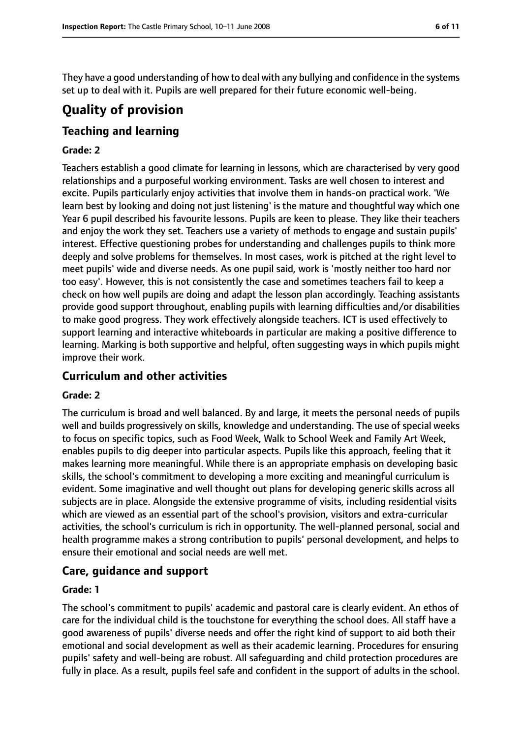They have a good understanding of how to deal with any bullying and confidence in the systems set up to deal with it. Pupils are well prepared for their future economic well-being.

# **Quality of provision**

## **Teaching and learning**

#### **Grade: 2**

Teachers establish a good climate for learning in lessons, which are characterised by very good relationships and a purposeful working environment. Tasks are well chosen to interest and excite. Pupils particularly enjoy activities that involve them in hands-on practical work. 'We learn best by looking and doing not just listening' is the mature and thoughtful way which one Year 6 pupil described his favourite lessons. Pupils are keen to please. They like their teachers and enjoy the work they set. Teachers use a variety of methods to engage and sustain pupils' interest. Effective questioning probes for understanding and challenges pupils to think more deeply and solve problems for themselves. In most cases, work is pitched at the right level to meet pupils' wide and diverse needs. As one pupil said, work is 'mostly neither too hard nor too easy'. However, this is not consistently the case and sometimes teachers fail to keep a check on how well pupils are doing and adapt the lesson plan accordingly. Teaching assistants provide good support throughout, enabling pupils with learning difficulties and/or disabilities to make good progress. They work effectively alongside teachers. ICT is used effectively to support learning and interactive whiteboards in particular are making a positive difference to learning. Marking is both supportive and helpful, often suggesting ways in which pupils might improve their work.

## **Curriculum and other activities**

#### **Grade: 2**

The curriculum is broad and well balanced. By and large, it meets the personal needs of pupils well and builds progressively on skills, knowledge and understanding. The use of special weeks to focus on specific topics, such as Food Week, Walk to School Week and Family Art Week, enables pupils to dig deeper into particular aspects. Pupils like this approach, feeling that it makes learning more meaningful. While there is an appropriate emphasis on developing basic skills, the school's commitment to developing a more exciting and meaningful curriculum is evident. Some imaginative and well thought out plans for developing generic skills across all subjects are in place. Alongside the extensive programme of visits, including residential visits which are viewed as an essential part of the school's provision, visitors and extra-curricular activities, the school's curriculum is rich in opportunity. The well-planned personal, social and health programme makes a strong contribution to pupils' personal development, and helps to ensure their emotional and social needs are well met.

## **Care, guidance and support**

#### **Grade: 1**

The school's commitment to pupils' academic and pastoral care is clearly evident. An ethos of care for the individual child is the touchstone for everything the school does. All staff have a good awareness of pupils' diverse needs and offer the right kind of support to aid both their emotional and social development as well as their academic learning. Procedures for ensuring pupils' safety and well-being are robust. All safeguarding and child protection procedures are fully in place. As a result, pupils feel safe and confident in the support of adults in the school.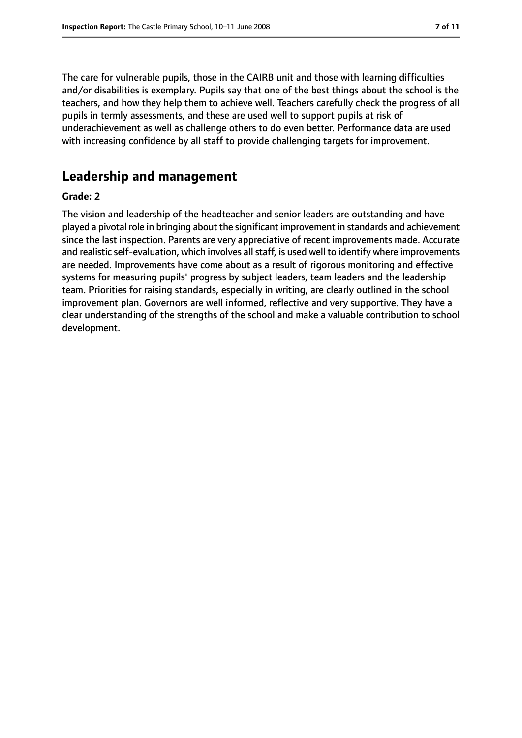The care for vulnerable pupils, those in the CAIRB unit and those with learning difficulties and/or disabilities is exemplary. Pupils say that one of the best things about the school is the teachers, and how they help them to achieve well. Teachers carefully check the progress of all pupils in termly assessments, and these are used well to support pupils at risk of underachievement as well as challenge others to do even better. Performance data are used with increasing confidence by all staff to provide challenging targets for improvement.

# **Leadership and management**

#### **Grade: 2**

The vision and leadership of the headteacher and senior leaders are outstanding and have played a pivotal role in bringing about the significant improvement in standards and achievement since the last inspection. Parents are very appreciative of recent improvements made. Accurate and realistic self-evaluation, which involves all staff, is used well to identify where improvements are needed. Improvements have come about as a result of rigorous monitoring and effective systems for measuring pupils' progress by subject leaders, team leaders and the leadership team. Priorities for raising standards, especially in writing, are clearly outlined in the school improvement plan. Governors are well informed, reflective and very supportive. They have a clear understanding of the strengths of the school and make a valuable contribution to school development.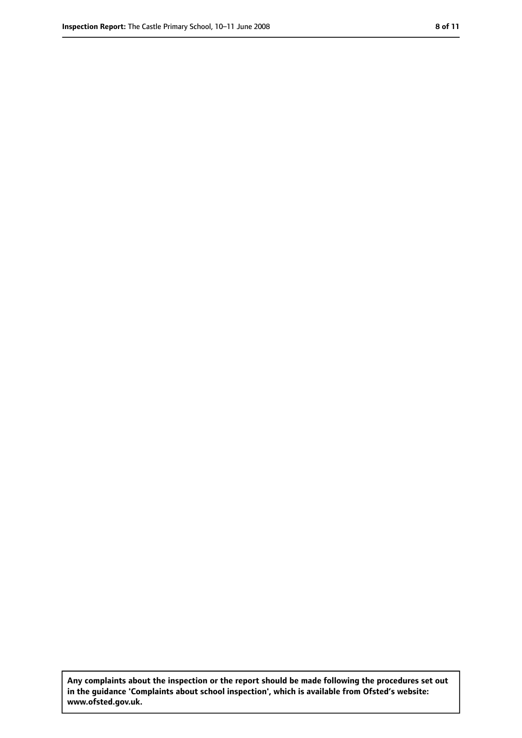**Any complaints about the inspection or the report should be made following the procedures set out in the guidance 'Complaints about school inspection', which is available from Ofsted's website: www.ofsted.gov.uk.**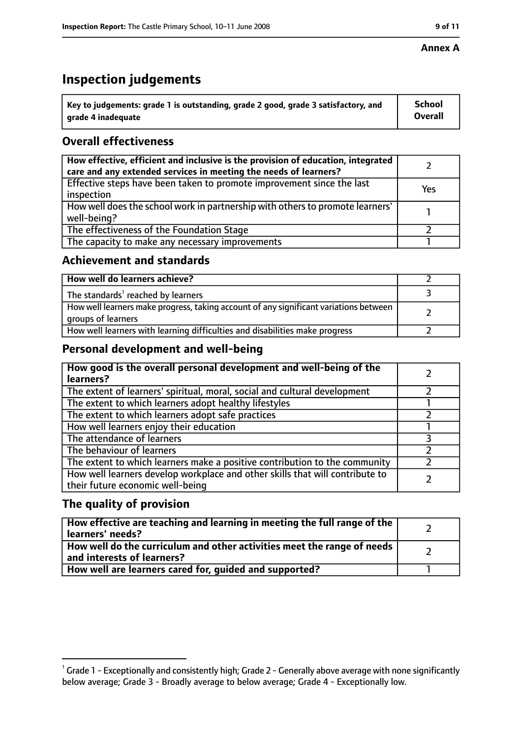#### **Annex A**

# **Inspection judgements**

| $^{\backprime}$ Key to judgements: grade 1 is outstanding, grade 2 good, grade 3 satisfactory, and | <b>School</b>  |
|----------------------------------------------------------------------------------------------------|----------------|
| arade 4 inadequate                                                                                 | <b>Overall</b> |

## **Overall effectiveness**

| How effective, efficient and inclusive is the provision of education, integrated<br>care and any extended services in meeting the needs of learners? |     |
|------------------------------------------------------------------------------------------------------------------------------------------------------|-----|
| Effective steps have been taken to promote improvement since the last<br>inspection                                                                  | Yes |
| How well does the school work in partnership with others to promote learners'<br>well-being?                                                         |     |
| The effectiveness of the Foundation Stage                                                                                                            |     |
| The capacity to make any necessary improvements                                                                                                      |     |

## **Achievement and standards**

| How well do learners achieve?                                                                               |  |
|-------------------------------------------------------------------------------------------------------------|--|
| The standards <sup>1</sup> reached by learners                                                              |  |
| How well learners make progress, taking account of any significant variations between<br>groups of learners |  |
| How well learners with learning difficulties and disabilities make progress                                 |  |

## **Personal development and well-being**

| How good is the overall personal development and well-being of the<br>learners?                                  |  |
|------------------------------------------------------------------------------------------------------------------|--|
| The extent of learners' spiritual, moral, social and cultural development                                        |  |
| The extent to which learners adopt healthy lifestyles                                                            |  |
| The extent to which learners adopt safe practices                                                                |  |
| How well learners enjoy their education                                                                          |  |
| The attendance of learners                                                                                       |  |
| The behaviour of learners                                                                                        |  |
| The extent to which learners make a positive contribution to the community                                       |  |
| How well learners develop workplace and other skills that will contribute to<br>their future economic well-being |  |

## **The quality of provision**

| How effective are teaching and learning in meeting the full range of the<br>learners' needs?          |  |
|-------------------------------------------------------------------------------------------------------|--|
| How well do the curriculum and other activities meet the range of needs<br>and interests of learners? |  |
| How well are learners cared for, quided and supported?                                                |  |

 $^1$  Grade 1 - Exceptionally and consistently high; Grade 2 - Generally above average with none significantly below average; Grade 3 - Broadly average to below average; Grade 4 - Exceptionally low.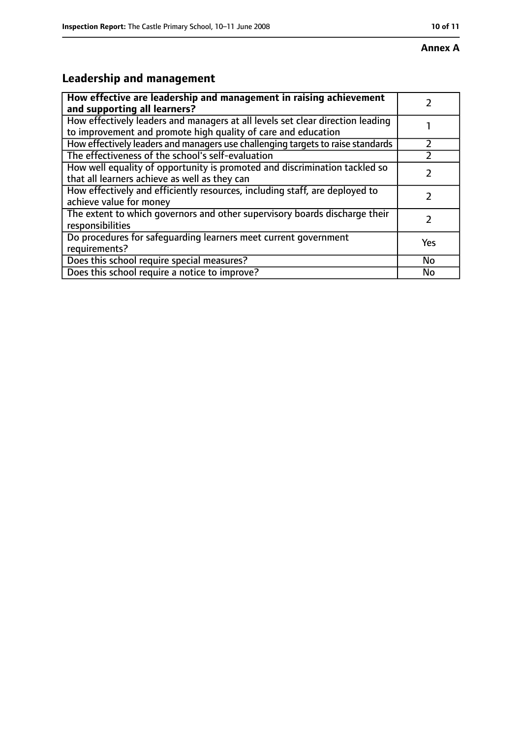# **Leadership and management**

| How effective are leadership and management in raising achievement<br>and supporting all learners?                                              |     |
|-------------------------------------------------------------------------------------------------------------------------------------------------|-----|
| How effectively leaders and managers at all levels set clear direction leading<br>to improvement and promote high quality of care and education |     |
| How effectively leaders and managers use challenging targets to raise standards                                                                 |     |
| The effectiveness of the school's self-evaluation                                                                                               |     |
| How well equality of opportunity is promoted and discrimination tackled so<br>that all learners achieve as well as they can                     |     |
| How effectively and efficiently resources, including staff, are deployed to<br>achieve value for money                                          |     |
| The extent to which governors and other supervisory boards discharge their<br>responsibilities                                                  |     |
| Do procedures for safequarding learners meet current government<br>requirements?                                                                | Yes |
| Does this school require special measures?                                                                                                      | No  |
| Does this school require a notice to improve?                                                                                                   | No  |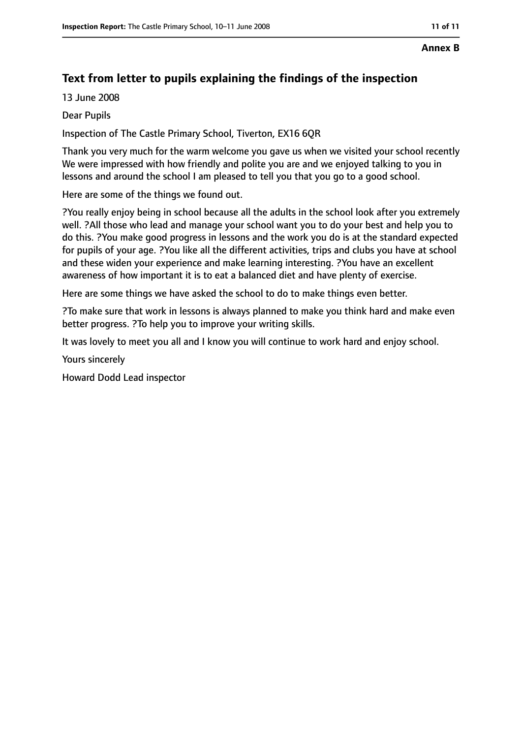#### **Annex B**

# **Text from letter to pupils explaining the findings of the inspection**

13 June 2008

Dear Pupils

Inspection of The Castle Primary School, Tiverton, EX16 6QR

Thank you very much for the warm welcome you gave us when we visited your school recently We were impressed with how friendly and polite you are and we enjoyed talking to you in lessons and around the school I am pleased to tell you that you go to a good school.

Here are some of the things we found out.

?You really enjoy being in school because all the adults in the school look after you extremely well. ?All those who lead and manage your school want you to do your best and help you to do this. ?You make good progress in lessons and the work you do is at the standard expected for pupils of your age. ?You like all the different activities, trips and clubs you have at school and these widen your experience and make learning interesting. ?You have an excellent awareness of how important it is to eat a balanced diet and have plenty of exercise.

Here are some things we have asked the school to do to make things even better.

?To make sure that work in lessons is always planned to make you think hard and make even better progress. ?To help you to improve your writing skills.

It was lovely to meet you all and I know you will continue to work hard and enjoy school.

Yours sincerely

Howard Dodd Lead inspector